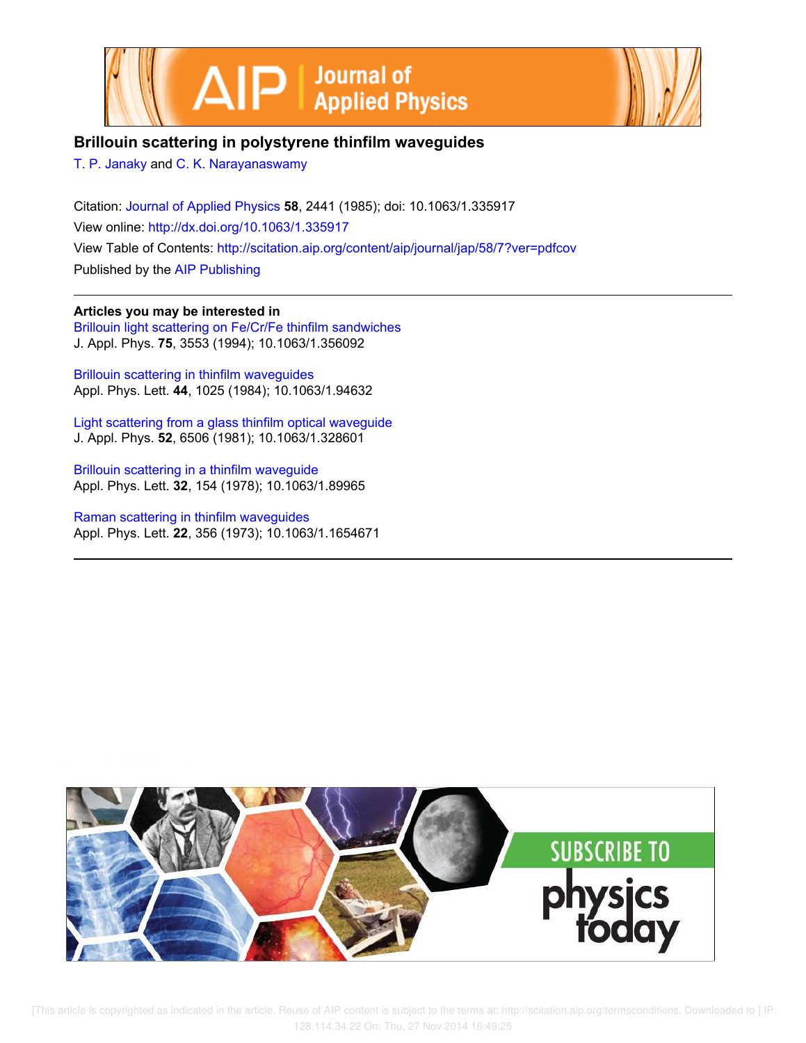



# **Brillouin scattering in polystyrene thinfilm waveguides**

T. P. Janaky and C. K. Narayanaswamy

Citation: Journal of Applied Physics **58**, 2441 (1985); doi: 10.1063/1.335917 View online: http://dx.doi.org/10.1063/1.335917 View Table of Contents: http://scitation.aip.org/content/aip/journal/jap/58/7?ver=pdfcov Published by the AIP Publishing

## **Articles you may be interested in**

Brillouin light scattering on Fe/Cr/Fe thinfilm sandwiches J. Appl. Phys. **75**, 3553 (1994); 10.1063/1.356092

Brillouin scattering in thinfilm waveguides Appl. Phys. Lett. **44**, 1025 (1984); 10.1063/1.94632

Light scattering from a glass thinfilm optical waveguide J. Appl. Phys. **52**, 6506 (1981); 10.1063/1.328601

Brillouin scattering in a thinfilm waveguide Appl. Phys. Lett. **32**, 154 (1978); 10.1063/1.89965

Raman scattering in thinfilm waveguides Appl. Phys. Lett. **22**, 356 (1973); 10.1063/1.1654671



 [This article is copyrighted as indicated in the article. Reuse of AIP content is subject to the terms at: http://scitation.aip.org/termsconditions. Downloaded to ] IP: 128.114.34.22 On: Thu, 27 Nov 2014 16:49:25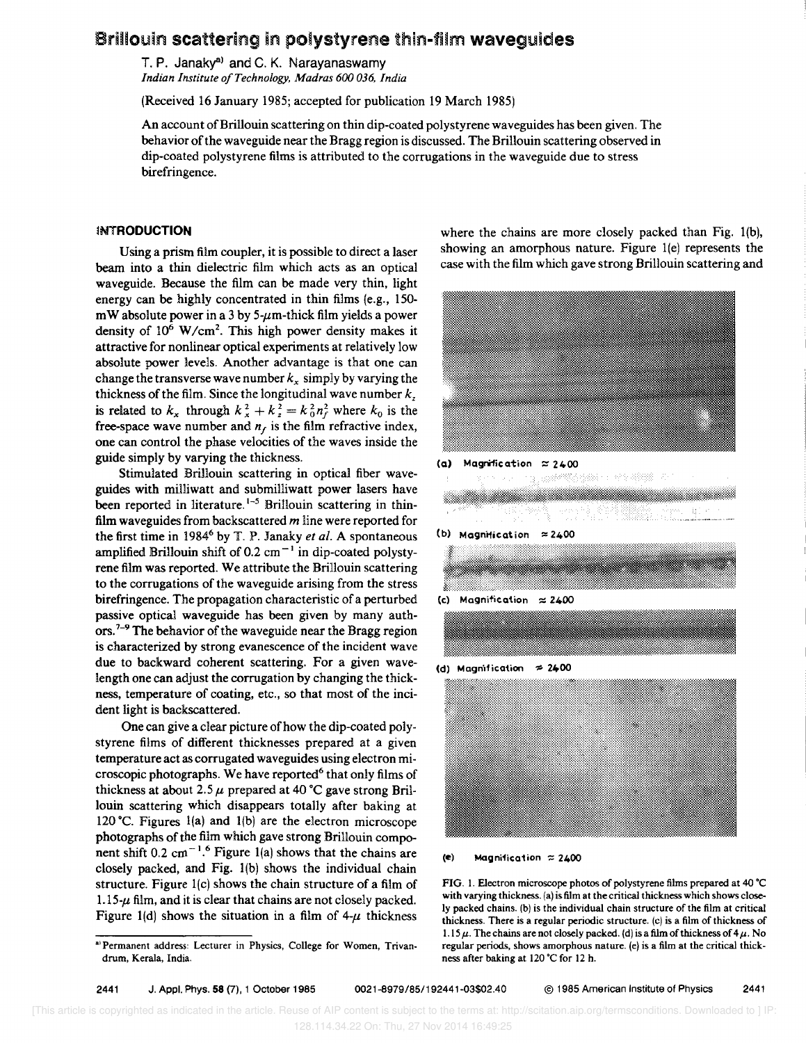# Brillouin scattering in polystyrene thin-film waveguides

T. P. Janaky<sup>a)</sup> and C. K. Narayanaswamy *Indian Institute a/Technology, Madras 600 036, India* 

(Received 16 January 1985; accepted for publication 19 March 1985)

An account of Brillouin scattering on thin dip-coated polystyrene waveguides has been given. The behavior of the waveguide near the Bragg region is discussed. The Brillouin scattering observed in dip-coated polystyrene films is attributed to the corrugations in the waveguide due to stress birefringence.

## **INTRODUCTION**

Using a prism film coupler, it is possible to direct a laser beam into a thin dielectric film which acts as an optical waveguide. Because the film can be made very thin, light energy can be highly concentrated in thin films (e.g., 150 mW absolute power in a 3 by 5- $\mu$ m-thick film yields a power density of  $10^6$  W/cm<sup>2</sup>. This high power density makes it attractive for nonlinear optical experiments at relatively low absolute power levels. Another advantage is that one can change the transverse wave number  $k<sub>x</sub>$  simply by varying the thickness of the film. Since the longitudinal wave number  $k<sub>z</sub>$ is related to  $k_x$  through  $k_x^2 + k_y^2 = k_0^2 n_f^2$  where  $k_0$  is the free-space wave number and  $n_f$  is the film refractive index, one can control the phase velocities of the waves inside the guide simply by varying the thickness.

Stimulated Brillouin scattering in optical fiber waveguides with milliwatt and subrnilliwatt power lasers have been reported in literature.<sup>1-5</sup> Brillouin scattering in thinfilm waveguides from backscattered *m* line were reported for the first time in 1984<sup>6</sup> by T. P. Janaky *et al.* A spontaneous amplified Brillouin shift of 0.2  $cm^{-1}$  in dip-coated polystyrene film was reported. We attribute the Brillouin scattering to the corrugations of the waveguide arising from the stress birefringence. The propagation characteristic of a perturbed passive optical waveguide has been given by many authors.<sup>7-9</sup> The behavior of the waveguide near the Bragg region is characterized by strong evanescence of the incident wave due to backward coherent scattering. For a given wavelength one can adjust the corrugation by changing the thickness, temperature of coating, etc., so that most of the incident light is backscattered.

One can give a clear picture of how the dip-coated polystyrene films of different thicknesses prepared at a given temperature act as corrugated waveguides using electron microscopic photographs. We have reported<sup>6</sup> that only films of thickness at about 2.5  $\mu$  prepared at 40 °C gave strong Brillouin scattering which disappears totally after baking at 120 °C. Figures 1(a) and 1(b) are the electron microscope photographs of the film which gave strong Brillouin component shift 0.2 cm<sup>-1.6</sup> Figure 1(a) shows that the chains are closely packed, and Fig. 1(b) shows the individual chain structure. Figure l(c) shows the chain structure of a film of 1.15- $\mu$  film, and it is clear that chains are not closely packed. Figure 1(d) shows the situation in a film of  $4-\mu$  thickness where the chains are more closely packed than Fig. 1(b), showing an amorphous nature. Figure 1(e) represents the case with the film which gave strong Brillouin scattering and



(d) Magnification  $\approx 2400$ 



(e) Magnification  $\approx 2400$ 

FIG. I. Electron microscope photos of polystyrene films prepared at 4Q·C with varying thickness. (a) is film at the critical thickness which shows closely packed chains. (b) is the individual chain structure of the film at critical thickness. There is a regular periodic structure. (c) is a film of thickness of 1.15  $\mu$ . The chains are not closely packed. (d) is a film of thickness of 4  $\mu$ . No regular periods. shows amorphous nature. (e) is a film at the critical thickness after baking at l20·C for 12 h.

2441 J. Appl. Phys. 58 (7),1 October 1985 0021-8979/85/192441-03\$02.40 © 1985 American Institute of Physics 2441

<sup>&</sup>lt;sup>a)</sup> Permanent address: Lecturer in Physics, College for Women, Trivandrum, Kerala, India.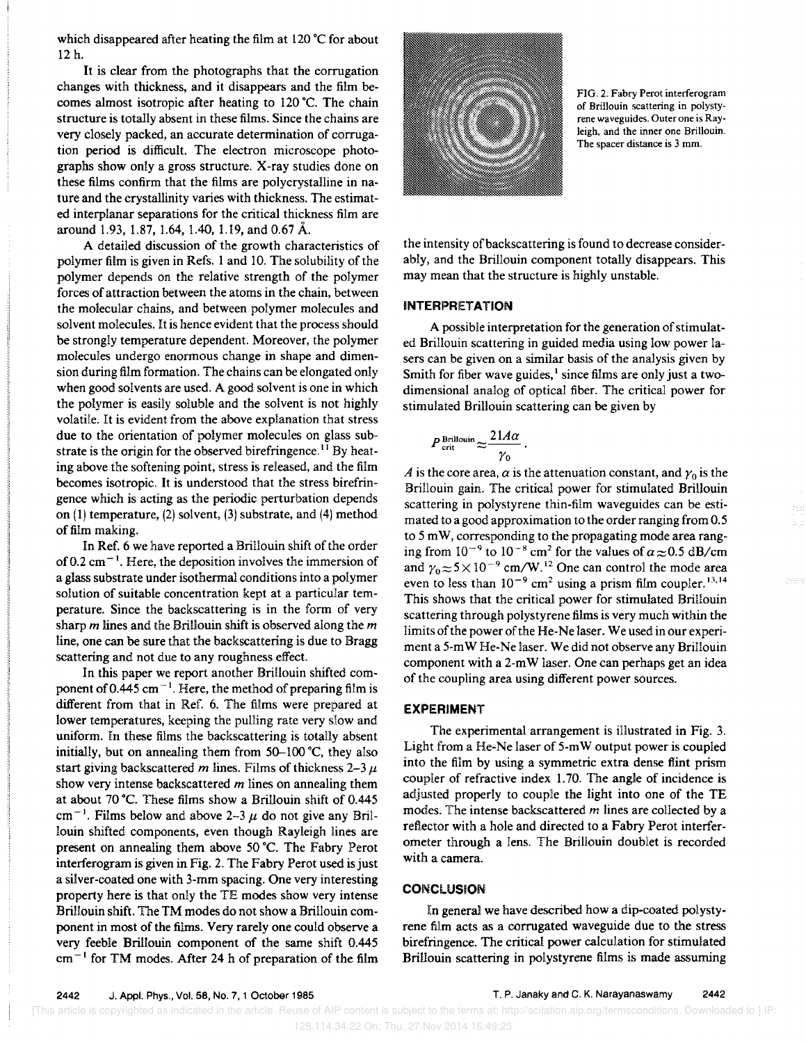which disappeared after heating the film at 120 °C for about 12 h.

It is clear from the photographs that the corrugation changes with thickness, and it disappears and the film becomes almost isotropic after heating to 120·C. The chain structure is totally absent in these films. Since the chains are very closely packed, an accurate determination of corrugation period is difficult. The electron microscope photographs show only a gross structure. X-ray studies done on these films confirm that the films are polycrystalline in nature and the crystallinity varies with thickness. The estimated interplanar separations for the critical thickness film are around 1.93, 1.87, 1.64, 1.40, 1.19, and 0.67 A.

A detailed discussion of the growth characteristics of polymer film is given in Refs. 1 and 10. The solubility of the polymer depends on the relative strength of the polymer forces of attraction between the atoms in the chain, between the molecular chains, and between polymer molecules and solvent molecules. It is hence evident that the process should be strongly temperature dependent. Moreover, the polymer molecules undergo enormous change in shape and dimension during film formation. The chains can be elongated only when good solvents are used. A good solvent is one in which the polymer is easily soluble and the solvent is not highly volatile. It is evident from the above explanation that stress due to the orientation of polymer molecules on glass substrate is the origin for the observed birefringence.<sup>11</sup> By heating above the softening point, stress is released, and the film becomes isotropic. It is understood that the stress birefringence which is acting as the periodic perturbation depends on (1) temperature, (2) solvent, (3) substrate, and (4) method of film making.

In Ref. 6 we have reported a Brillouin shift of the order of 0.2 cm<sup> $-1$ </sup>. Here, the deposition involves the immersion of a glass substrate under isothermal conditions into a polymer solution of suitable concentration kept at a particular temperature. Since the backscattering is in the form of very sharp *m* lines and the Brillouin shift is observed along the *m*  line, one can be sure that the backscattering is due to Bragg scattering and not due to any roughness effect.

In this paper we report another Brillouin shifted component of 0.445 cm<sup> $-1$ </sup>. Here, the method of preparing film is different from that in Ref. 6. The films were prepared at lower temperatures, keeping the pulling rate very slow and uniform. In these films the backscattering is totally absent initially, but on annealing them from  $50-100$  °C, they also start giving backscattered *m* lines. Films of thickness  $2-3 \mu$ show very intense backscattered *m* lines on annealing them at about 70 °C. These films show a Brillouin shift of 0.445 cm<sup>-1</sup>. Films below and above 2-3  $\mu$  do not give any Brillouin shifted components, even though Rayleigh lines are present on annealing them above 50 °C. The Fabry Perot interferogram is given in Fig. 2. The Fabry Perot used is just a silver-coated one with 3-mm spacing. One very interesting property here is that only the TE modes show very intense BriIJouin shift. The TM modes do not show a Brillouin component in most of the films. Very rarely one could observe a very feeble Brillouin component of the same shift 0.445  $cm^{-1}$  for TM modes. After 24 h of preparation of the film



FIG. 2. Fabry Perot interferogram of Brillouin scattering in polystyrene waveguides. Outer one is Rayleigh, and the inner one Brillouin. The spacer distance is 3 mm.

the intensity of back scattering is found to decrease considerably, and the Brillouin component totally disappears. This may mean that the structure is highly unstable.

#### **INTERPRETATION**

A possible interpretation for the generation of stimulated Brillouin scattering in guided media using low power lasers can be given on a similar basis of the analysis given by Smith for fiber wave guides, $<sup>1</sup>$  since films are only just a two-</sup> dimensional analog of optical fiber. The critical power for stimulated Brillouin scattering can be given by

$$
P_{\rm crit}^{\rm Brillouin} \approx \frac{21A\alpha}{\gamma_0} \, .
$$

*A* is the core area,  $\alpha$  is the attenuation constant, and  $\gamma_0$  is the Brillouin gain. The critical power for stimulated Brillouin scattering in polystyrene thin-film waveguides can be estimated to a good approximation to the order ranging from 0.5 to 5 m W, corresponding to the propagating mode area ranging from  $10^{-9}$  to  $10^{-8}$  cm<sup>2</sup> for the values of  $\alpha \approx 0.5$  dB/cm and  $\gamma_0 \approx 5 \times 10^{-9}$  cm/W.<sup>12</sup> One can control the mode area even to less than  $10^{-9}$  cm<sup>2</sup> using a prism film coupler.<sup>13,14</sup> This shows that the critical power for stimulated Brillouin scattering through polystyrene films is very much within the limits of the power of the He-Ne laser. We used in our experiment a 5-mW He-Ne laser. We did not observe any Brillouin component with a 2-m W laser. One can perhaps get an idea of the coupling area using different power sources.

### **EXPERIMENT**

The experimental arrangement is illustrated in Fig. 3. Light from a He-Ne laser of 5-m W output power is coupled into the film by using a symmetric extra dense flint prism coupler of refractive index 1. 70. The angle of incidence is adjusted properly to couple the light into one of the TE modes. The intense backscattered *m* lines are collected by a reflector with a hole and directed to a Fabry Perot interferometer through a lens. The Brillouin doublet is recorded with a camera.

### **CONCLUSION**

In general we have described how a dip-coated polystyrene film acts as a corrugated waveguide due to the stress birefringence. The critical power calculation for stimulated Brillouin scattering in polystyrene films is made assuming

<sup>[</sup>This article is copyrighted as indicated in the article. Reuse of AIP content is subject to the terms at: http://scitation.aip.org/termsconditions. Downloaded to ] IP: 128.114.34.22 On: Thu, 27 Nov 2014 16:49:25